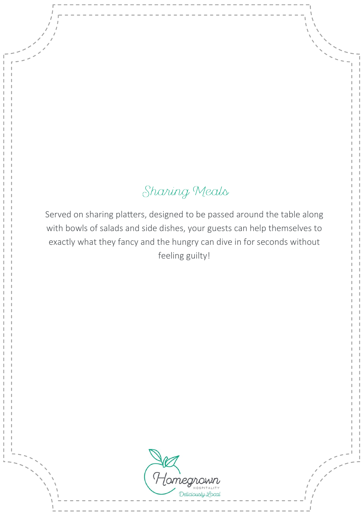# Sharing Meals

Served on sharing platters, designed to be passed around the table along with bowls of salads and side dishes, your guests can help themselves to exactly what they fancy and the hungry can dive in for seconds without feeling guilty!

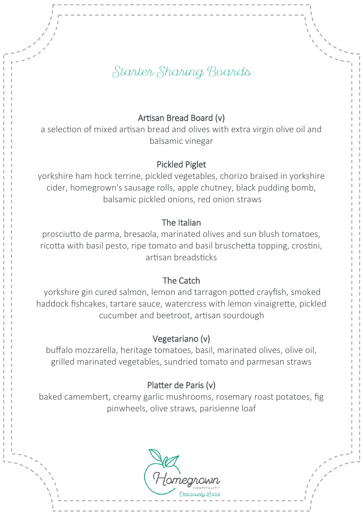## Starter Sharing Boards

## Artisan Bread Board (v)

a selection of mixed artisan bread and olives with extra virgin olive oil and balsamic vinegar

## Pickled Piglet

yorkshire ham hock terrine, pickled vegetables, chorizo braised in yorkshire cider, homegrown's sausage rolls, apple chutney, black pudding bomb, balsamic pickled onions, red onion straws

#### The Italian

prosciutto de parma, bresaola, marinated olives and sun blush tomatoes, ricotta with basil pesto, ripe tomato and basil bruschetta topping, crostini, artisan breadsticks

#### The Catch

yorkshire gin cured salmon, lemon and tarragon potted crayfish, smoked haddock fishcakes, tartare sauce, watercress with lemon vinaigrette, pickled cucumber and beetroot, artisan sourdough

#### Vegetariano (v)

buffalo mozzarella, heritage tomatoes, basil, marinated olives, olive oil, grilled marinated vegetables, sundried tomato and parmesan straws

#### Platter de Paris (v)

baked camembert, creamy garlic mushrooms, rosemary roast potatoes, fig pinwheels, olive straws, parisienne loaf

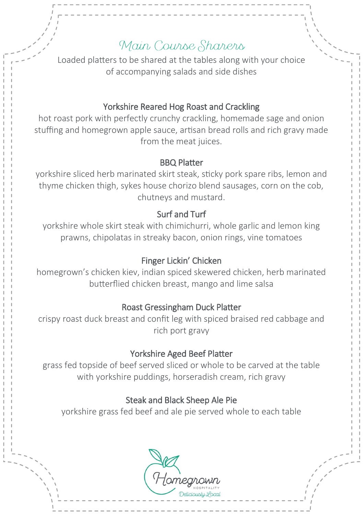## Main Course Sharers

Loaded platters to be shared at the tables along with your choice of accompanying salads and side dishes

## Yorkshire Reared Hog Roast and Crackling

hot roast pork with perfectly crunchy crackling, homemade sage and onion stuffing and homegrown apple sauce, artisan bread rolls and rich gravy made from the meat juices.

#### BBQ Platter

yorkshire sliced herb marinated skirt steak, sticky pork spare ribs, lemon and thyme chicken thigh, sykes house chorizo blend sausages, corn on the cob, chutneys and mustard.

## Surf and Turf

yorkshire whole skirt steak with chimichurri, whole garlic and lemon king prawns, chipolatas in streaky bacon, onion rings, vine tomatoes

## Finger Lickin' Chicken

homegrown's chicken kiev, indian spiced skewered chicken, herb marinated butterflied chicken breast, mango and lime salsa

#### Roast Gressingham Duck Platter

crispy roast duck breast and confit leg with spiced braised red cabbage and rich port gravy

## Yorkshire Aged Beef Platter

grass fed topside of beef served sliced or whole to be carved at the table with yorkshire puddings, horseradish cream, rich gravy

## Steak and Black Sheep Ale Pie

yorkshire grass fed beef and ale pie served whole to each table

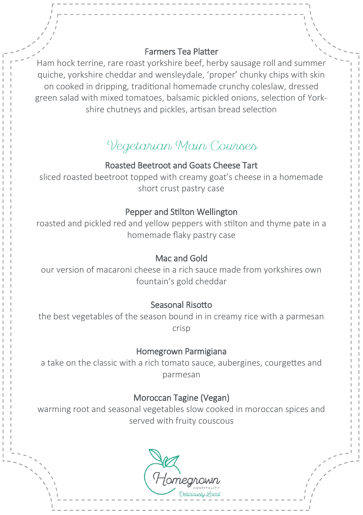#### Farmers Tea Platter

Ham hock terrine, rare roast yorkshire beef, herby sausage roll and summe quiche, yorkshire cheddar and wensleydale, 'proper' chunky chips with skin on cooked in dripping, traditional homemade crunchy coleslaw, dressed green salad with mixed tomatoes, balsamic pickled onions, selection of Yorkshire chutneys and pickles, artisan bread selection

# Vegetarian Main Courses

## Roasted Beetroot and Goats Cheese Tart

sliced roasted beetroot topped with creamy goat's cheese in a homemade short crust pastry case

#### Pepper and Stilton Wellington

roasted and pickled red and yellow peppers with stilton and thyme pate in a homemade flaky pastry case

#### Mac and Gold

our version of macaroni cheese in a rich sauce made from yorkshires own fountain's gold cheddar

### Seasonal Risotto

the best vegetables of the season bound in in creamy rice with a parmesan crisp

## Homegrown Parmigiana

a take on the classic with a rich tomato sauce, aubergines, courgettes and parmesan

### Moroccan Tagine (Vegan)

warming root and seasonal vegetables slow cooked in moroccan spices and served with fruity couscous

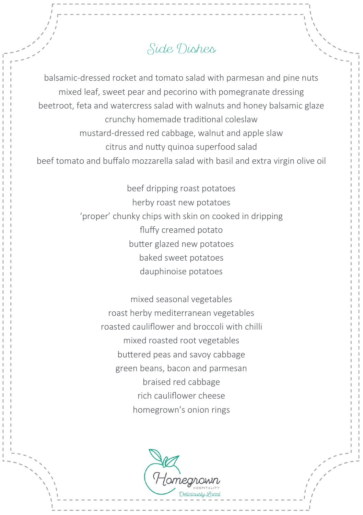## Side Dishes

balsamic-dressed rocket and tomato salad with parmesan and pine nuts mixed leaf, sweet pear and pecorino with pomegranate dressing beetroot, feta and watercress salad with walnuts and honey balsamic glaze crunchy homemade traditional coleslaw mustard-dressed red cabbage, walnut and apple slaw citrus and nutty quinoa superfood salad beef tomato and buffalo mozzarella salad with basil and extra virgin olive oil

> beef dripping roast potatoes herby roast new potatoes 'proper' chunky chips with skin on cooked in dripping fluffy creamed potato butter glazed new potatoes baked sweet potatoes dauphinoise potatoes

> > mixed seasonal vegetables roast herby mediterranean vegetables roasted cauliflower and broccoli with chilli mixed roasted root vegetables buttered peas and savoy cabbage green beans, bacon and parmesan braised red cabbage rich cauliflower cheese homegrown's onion rings